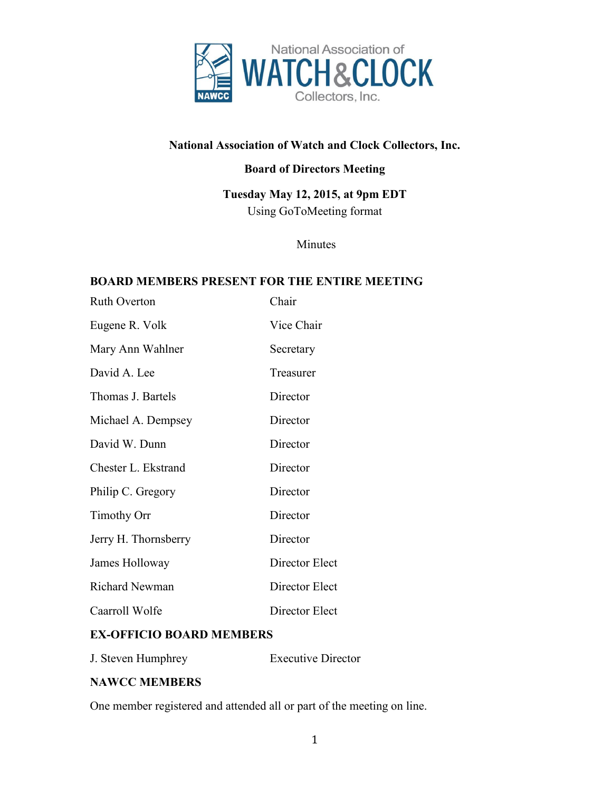

# **National Association of Watch and Clock Collectors, Inc.**

### **Board of Directors Meeting**

**Tuesday May 12, 2015, at 9pm EDT** Using GoToMeeting format

Minutes

#### **BOARD MEMBERS PRESENT FOR THE ENTIRE MEETING**

| <b>Ruth Overton</b>   | Chair          |
|-----------------------|----------------|
| Eugene R. Volk        | Vice Chair     |
| Mary Ann Wahlner      | Secretary      |
| David A. Lee          | Treasurer      |
| Thomas J. Bartels     | Director       |
| Michael A. Dempsey    | Director       |
| David W. Dunn         | Director       |
| Chester L. Ekstrand   | Director       |
| Philip C. Gregory     | Director       |
| <b>Timothy Orr</b>    | Director       |
| Jerry H. Thornsberry  | Director       |
| James Holloway        | Director Elect |
| <b>Richard Newman</b> | Director Elect |
| Caarroll Wolfe        | Director Elect |

### **EX-OFFICIO BOARD MEMBERS**

J. Steven Humphrey Executive Director

### **NAWCC MEMBERS**

One member registered and attended all or part of the meeting on line.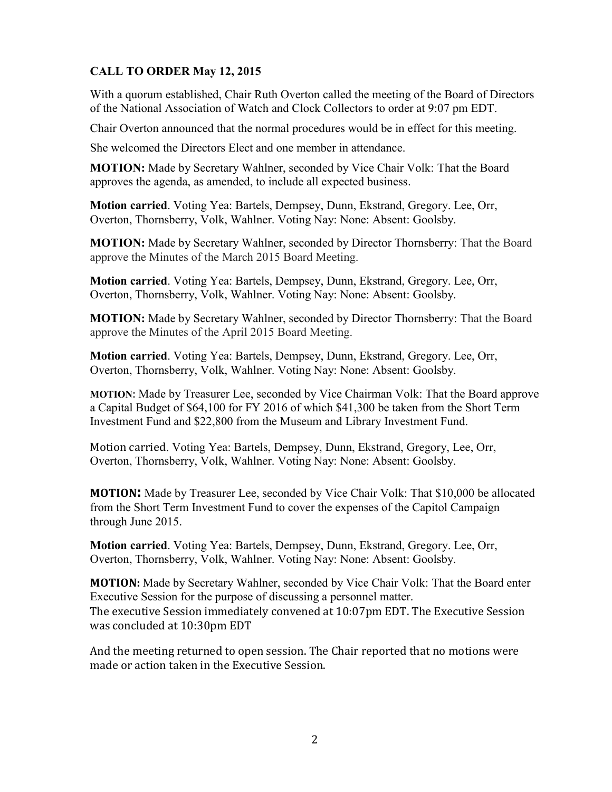# **CALL TO ORDER May 12, 2015**

With a quorum established, Chair Ruth Overton called the meeting of the Board of Directors of the National Association of Watch and Clock Collectors to order at 9:07 pm EDT.

Chair Overton announced that the normal procedures would be in effect for this meeting.

She welcomed the Directors Elect and one member in attendance.

**MOTION:** Made by Secretary Wahlner, seconded by Vice Chair Volk: That the Board approves the agenda, as amended, to include all expected business.

**Motion carried**. Voting Yea: Bartels, Dempsey, Dunn, Ekstrand, Gregory. Lee, Orr, Overton, Thornsberry, Volk, Wahlner. Voting Nay: None: Absent: Goolsby.

**MOTION:** Made by Secretary Wahlner, seconded by Director Thornsberry: That the Board approve the Minutes of the March 2015 Board Meeting.

**Motion carried**. Voting Yea: Bartels, Dempsey, Dunn, Ekstrand, Gregory. Lee, Orr, Overton, Thornsberry, Volk, Wahlner. Voting Nay: None: Absent: Goolsby.

**MOTION:** Made by Secretary Wahlner, seconded by Director Thornsberry: That the Board approve the Minutes of the April 2015 Board Meeting.

**Motion carried**. Voting Yea: Bartels, Dempsey, Dunn, Ekstrand, Gregory. Lee, Orr, Overton, Thornsberry, Volk, Wahlner. Voting Nay: None: Absent: Goolsby.

**MOTION**: Made by Treasurer Lee, seconded by Vice Chairman Volk: That the Board approve a Capital Budget of \$64,100 for FY 2016 of which \$41,300 be taken from the Short Term Investment Fund and \$22,800 from the Museum and Library Investment Fund.

Motion carried. Voting Yea: Bartels, Dempsey, Dunn, Ekstrand, Gregory, Lee, Orr, Overton, Thornsberry, Volk, Wahlner. Voting Nay: None: Absent: Goolsby.

**MOTION:** Made by Treasurer Lee, seconded by Vice Chair Volk: That \$10,000 be allocated from the Short Term Investment Fund to cover the expenses of the Capitol Campaign through June 2015.

**Motion carried**. Voting Yea: Bartels, Dempsey, Dunn, Ekstrand, Gregory. Lee, Orr, Overton, Thornsberry, Volk, Wahlner. Voting Nay: None: Absent: Goolsby.

**MOTION:** Made by Secretary Wahlner, seconded by Vice Chair Volk: That the Board enter Executive Session for the purpose of discussing a personnel matter. The executive Session immediately convened at 10:07pm EDT. The Executive Session was concluded at 10:30pm EDT

And the meeting returned to open session. The Chair reported that no motions were made or action taken in the Executive Session.